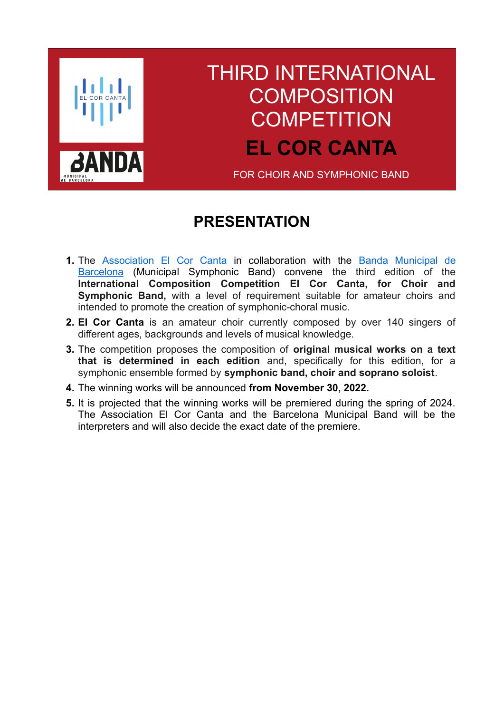

# <span id="page-0-1"></span>THIRD INTERNATIONAL **COMPOSITION COMPETITION EL COR CANTA**

FOR CHOIR AND SYMPHONIC BAND

## <span id="page-0-0"></span>**PRESENTATION**

- **1.** The [Association El Cor Canta](https://elcorcanta.cat/) in collaboration with the [Banda Municipal de](https://www.auditori.cat/es/quienes-somos-bmb) [Barcelona](https://www.auditori.cat/es/quienes-somos-bmb) (Municipal Symphonic Band) convene the third edition of the **International Composition Competition El Cor Canta, for Choir and Symphonic Band,** with a level of requirement suitable for amateur choirs and intended to promote the creation of symphonic-choral music.
- **2. El Cor Canta** is an amateur choir currently composed by over 140 singers of different ages, backgrounds and levels of musical knowledge.
- **3.** The competition proposes the composition of **original musical works on a text that is determined in each edition** and, specifically for this edition, for a symphonic ensemble formed by **symphonic band, choir and soprano soloist**.
- **4.** The winning works will be announced **from November 30, 2022.**
- **5.** It is projected that the winning works will be premiered during the spring of 2024. The Association El Cor Canta and the Barcelona Municipal Band will be the interpreters and will also decide the exact date of the premiere.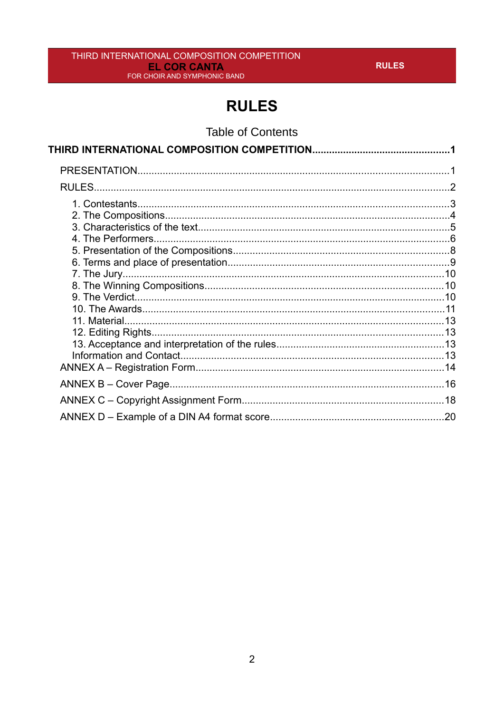# <span id="page-1-0"></span>**RULES**

**Table of Contents**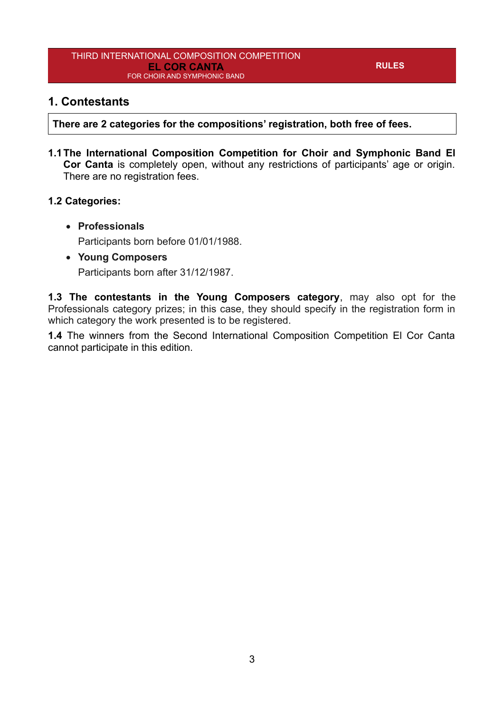#### <span id="page-2-0"></span>**1. Contestants**

**There are 2 categories for the compositions' registration, both free of fees.**

**1.1The International Composition Competition for Choir and Symphonic Band El Cor Canta** is completely open, without any restrictions of participants' age or origin. There are no registration fees.

#### **1.2 Categories:**

- **Professionals** Participants born before 01/01/1988.
- **Young Composers** Participants born after 31/12/1987.

**1.3 The contestants in the Young Composers category**, may also opt for the Professionals category prizes; in this case, they should specify in the registration form in which category the work presented is to be registered.

**1.4** The winners from the Second International Composition Competition El Cor Canta cannot participate in this edition.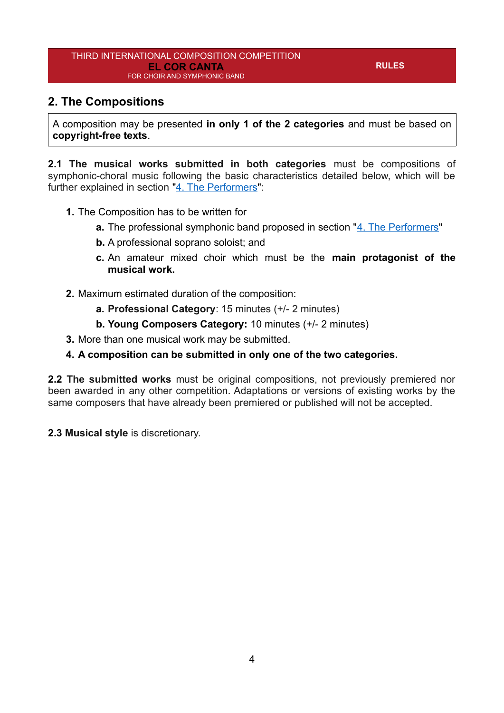## <span id="page-3-0"></span>**2. The Compositions**

A composition may be presented **in only 1 of the 2 categories** and must be based on **copyright-free texts**.

**2.1 The musical works submitted in both categories** must be compositions of symphonic-choral music following the basic characteristics detailed below, which will be further explained in section "[4. The Performers](#page-5-0)":

- **1.** The Composition has to be written for
	- **a.** The professional symphonic band proposed in section "[4. The Performers](#page-5-0)"
	- **b.** A professional soprano soloist; and
	- **c.** An amateur mixed choir which must be the **main protagonist of the musical work.**
- **2.** Maximum estimated duration of the composition:
	- **a. Professional Category**: 15 minutes (+/- 2 minutes)
	- **b. Young Composers Category:** 10 minutes (+/- 2 minutes)
- **3.** More than one musical work may be submitted.
- **4. A composition can be submitted in only one of the two categories.**

**2.2 The submitted works** must be original compositions, not previously premiered nor been awarded in any other competition. Adaptations or versions of existing works by the same composers that have already been premiered or published will not be accepted.

**2.3 Musical style** is discretionary.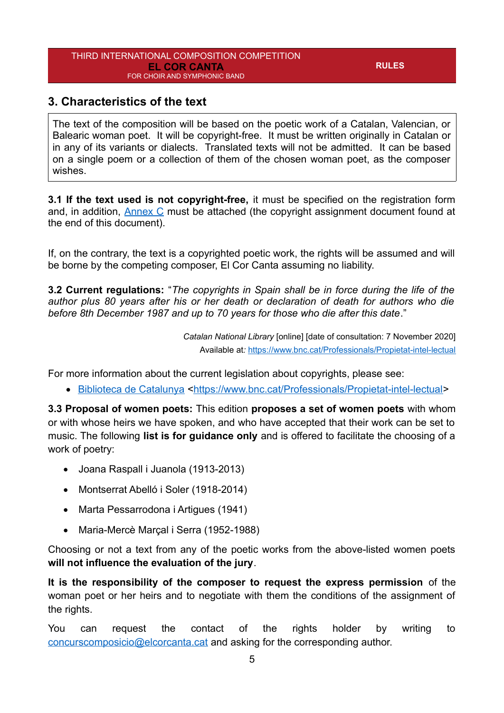#### <span id="page-4-0"></span>**3. Characteristics of the text**

The text of the composition will be based on the poetic work of a Catalan, Valencian, or Balearic woman poet. It will be copyright-free. It must be written originally in Catalan or in any of its variants or dialects. Translated texts will not be admitted. It can be based on a single poem or a collection of them of the chosen woman poet, as the composer wishes.

**3.1 If the text used is not copyright-free,** it must be specified on the registration form and, in addition, [Annex C](#page-17-0) must be attached (the copyright assignment document found at the end of this document).

If, on the contrary, the text is a copyrighted poetic work, the rights will be assumed and will be borne by the competing composer, El Cor Canta assuming no liability.

**3.2 Current regulations:** "*The copyrights in Spain shall be in force during the life of the author plus 80 years after his or her death or declaration of death for authors who die before 8th December 1987 and up to 70 years for those who die after this date*."

> *Catalan National Library* [online] [date of consultation: 7 November 2020] Available at*:* <https://www.bnc.cat/Professionals/Propietat-intel-lectual>

For more information about the current legislation about copyrights, please see:

• [Biblioteca de Catalunya](https://www.bnc.cat/Professionals/Propietat-intel-lectual) [<https://www.bnc.cat/Professionals/Propietat-intel-lectual](https://www.bnc.cat/Professionals/Propietat-intel-lectual)>

**3.3 Proposal of women poets:** This edition **proposes a set of women poets** with whom or with whose heirs we have spoken, and who have accepted that their work can be set to music. The following **list is for guidance only** and is offered to facilitate the choosing of a work of poetry:

- Joana Raspall i Juanola (1913-2013)
- Montserrat Abelló i Soler (1918-2014)
- Marta Pessarrodona i Artigues (1941)
- Maria-Mercè Marçal i Serra (1952-1988)

Choosing or not a text from any of the poetic works from the above-listed women poets **will not influence the evaluation of the jury**.

**It is the responsibility of the composer to request the express permission** of the woman poet or her heirs and to negotiate with them the conditions of the assignment of the rights.

You can request the contact of the rights holder by writing to [concurscomposicio@elcorcanta.cat](mailto:concurscomposicio@elcorcanta.cat) and asking for the corresponding author.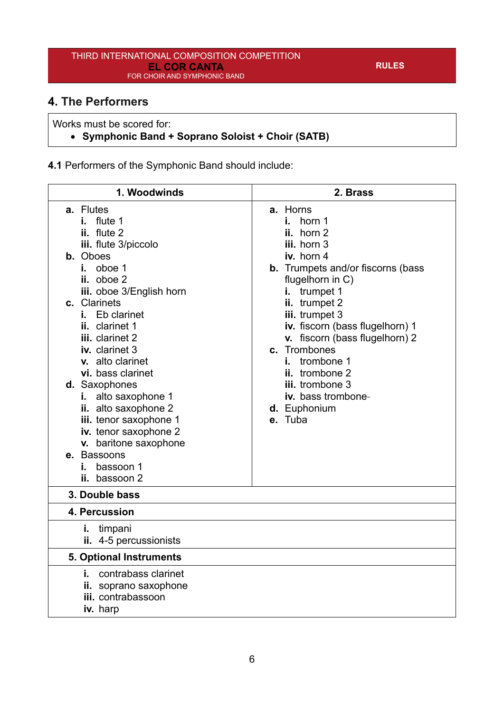## <span id="page-5-0"></span>**4. The Performers**

Works must be scored for:

#### **Symphonic Band + Soprano Soloist + Choir (SATB)**

**4.1** Performers of the Symphonic Band should include:

| 1. Woodwinds                                                                                                                                                                                                                                                                                                                                                      | 2. Brass                                                                                                                                                                                                                                         |
|-------------------------------------------------------------------------------------------------------------------------------------------------------------------------------------------------------------------------------------------------------------------------------------------------------------------------------------------------------------------|--------------------------------------------------------------------------------------------------------------------------------------------------------------------------------------------------------------------------------------------------|
| <b>a.</b> Flutes<br>flute 1<br>i. I<br>ii. flute 2<br>iii. flute 3/piccolo<br><b>b.</b> Oboes<br>oboe 1<br>i. I<br>ii. oboe 2                                                                                                                                                                                                                                     | a. Horns<br>i. horn $1$<br>ii. horn 2<br>iii. horn 3<br>iv. horn 4<br><b>b.</b> Trumpets and/or fiscorns (bass<br>flugelhorn in C)                                                                                                               |
| iii. oboe 3/English horn<br>c. Clarinets<br>Eb clarinet<br>i. I<br>ii. clarinet 1<br>iii. clarinet 2<br>iv. clarinet 3<br>v. alto clarinet<br>vi. bass clarinet<br>d. Saxophones<br>alto saxophone 1<br>i.<br>ii. alto saxophone 2<br>iii. tenor saxophone 1<br>iv. tenor saxophone 2<br>v. baritone saxophone<br>e. Bassoons<br>bassoon 1<br>L.<br>ii. bassoon 2 | i. trumpet 1<br>ii. trumpet 2<br>iii. trumpet 3<br>iv. fiscorn (bass flugelhorn) 1<br>v. fiscorn (bass flugelhorn) 2<br>c. Trombones<br>trombone 1<br>i. I<br>ii. trombone 2<br>iii. trombone 3<br>iv. bass trombone-<br>d. Euphonium<br>e. Tuba |
| 3. Double bass                                                                                                                                                                                                                                                                                                                                                    |                                                                                                                                                                                                                                                  |
| 4. Percussion                                                                                                                                                                                                                                                                                                                                                     |                                                                                                                                                                                                                                                  |
| i. timpani<br>ii. 4-5 percussionists                                                                                                                                                                                                                                                                                                                              |                                                                                                                                                                                                                                                  |
| <b>5. Optional Instruments</b>                                                                                                                                                                                                                                                                                                                                    |                                                                                                                                                                                                                                                  |
| i. contrabass clarinet<br>ii. soprano saxophone<br>iii. contrabassoon<br>iv. harp                                                                                                                                                                                                                                                                                 |                                                                                                                                                                                                                                                  |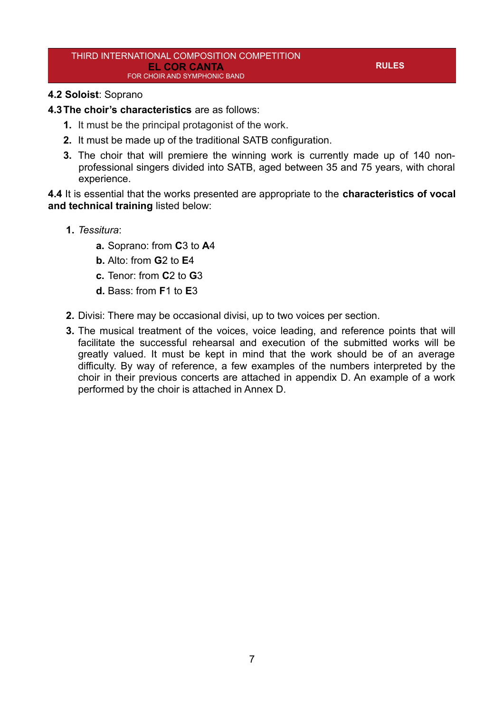**RULES**

#### **4.2 Soloist**: Soprano

**4.3The choir's characteristics** are as follows:

- **1.** It must be the principal protagonist of the work.
- **2.** It must be made up of the traditional SATB configuration.
- **3.** The choir that will premiere the winning work is currently made up of 140 nonprofessional singers divided into SATB, aged between 35 and 75 years, with choral experience.

**4.4** It is essential that the works presented are appropriate to the **characteristics of vocal and technical training** listed below:

- **1.** *Tessitura*:
	- **a.** Soprano: from **C**3 to **A**4
	- **b.** Alto: from **G**2 to **E**4
	- **c.** Tenor: from **C**2 to **G**3
	- **d.** Bass: from **F**1 to **E**3
- **2.** Divisi: There may be occasional divisi, up to two voices per section.
- **3.** The musical treatment of the voices, voice leading, and reference points that will facilitate the successful rehearsal and execution of the submitted works will be greatly valued. It must be kept in mind that the work should be of an average difficulty. By way of reference, a few examples of the numbers interpreted by the choir in their previous concerts are attached in appendix D. An example of a work performed by the choir is attached in Annex D.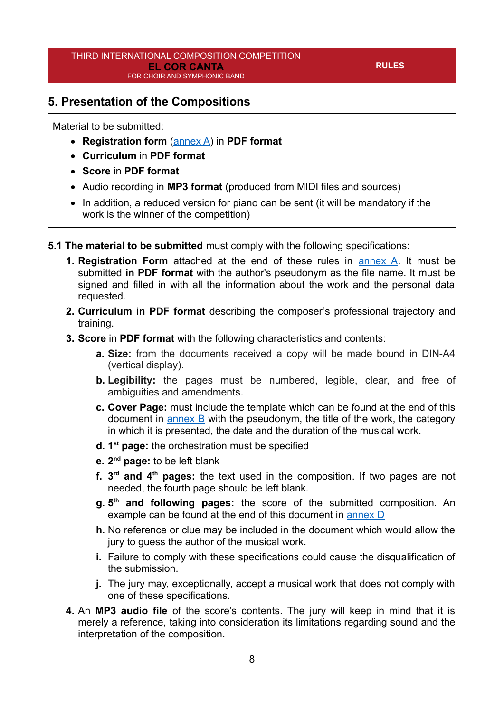### <span id="page-7-0"></span>**5. Presentation of the Compositions**

Material to be submitted:

- **Registration form** ([annex A](#page-13-0)) in **PDF format**
- **Curriculum** in **PDF format**
- **Score** in **PDF format**
- Audio recording in **MP3 format** (produced from MIDI files and sources)
- In addition, a reduced version for piano can be sent (it will be mandatory if the work is the winner of the competition)

**5.1 The material to be submitted** must comply with the following specifications:

- **1. Registration Form** attached at the end of these rules in [annex A](#page-13-0). It must be submitted **in PDF format** with the author's pseudonym as the file name. It must be signed and filled in with all the information about the work and the personal data requested.
- **2. Curriculum in PDF format** describing the composer's professional trajectory and training.
- **3. Score** in **PDF format** with the following characteristics and contents:
	- **a. Size:** from the documents received a copy will be made bound in DIN-A4 (vertical display).
	- **b. Legibility:** the pages must be numbered, legible, clear, and free of ambiguities and amendments.
	- **c. Cover Page:** must include the template which can be found at the end of this document in [annex B](#page-15-0) with the pseudonym, the title of the work, the category in which it is presented, the date and the duration of the musical work.
	- **d. 1 st page:** the orchestration must be specified
	- **e. 2 nd page:** to be left blank
	- **f. 3 rd and 4th pages:** the text used in the composition. If two pages are not needed, the fourth page should be left blank.
	- **g. 5 th and following pages:** the score of the submitted composition. An example can be found at the end of this document in [annex D](#page-19-0)
	- **h.** No reference or clue may be included in the document which would allow the jury to guess the author of the musical work.
	- **i.** Failure to comply with these specifications could cause the disqualification of the submission.
	- **j.** The jury may, exceptionally, accept a musical work that does not comply with one of these specifications.
- **4.** An **MP3 audio file** of the score's contents. The jury will keep in mind that it is merely a reference, taking into consideration its limitations regarding sound and the interpretation of the composition.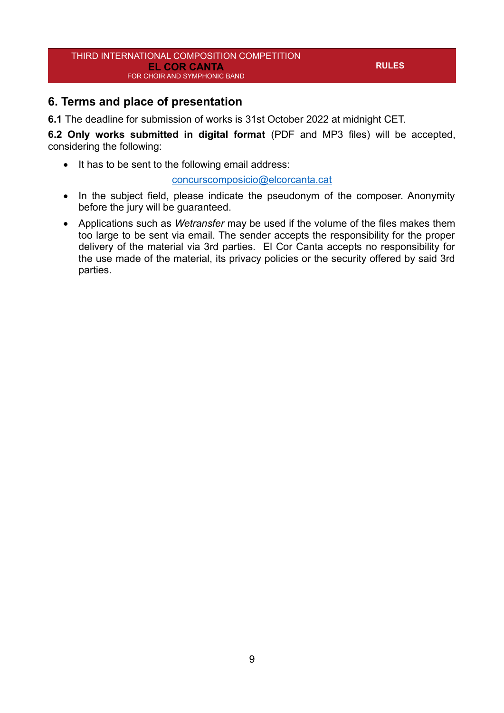## <span id="page-8-0"></span>**6. Terms and place of presentation**

**6.1** The deadline for submission of works is 31st October 2022 at midnight CET.

**6.2 Only works submitted in digital format** (PDF and MP3 files) will be accepted, considering the following:

• It has to be sent to the following email address:

#### [concurscomposicio@elcorcanta.cat](mailto:concurscomposicio@elcorcanta.cat)

- In the subject field, please indicate the pseudonym of the composer. Anonymity before the jury will be guaranteed.
- Applications such as *Wetransfer* may be used if the volume of the files makes them too large to be sent via email. The sender accepts the responsibility for the proper delivery of the material via 3rd parties. El Cor Canta accepts no responsibility for the use made of the material, its privacy policies or the security offered by said 3rd parties.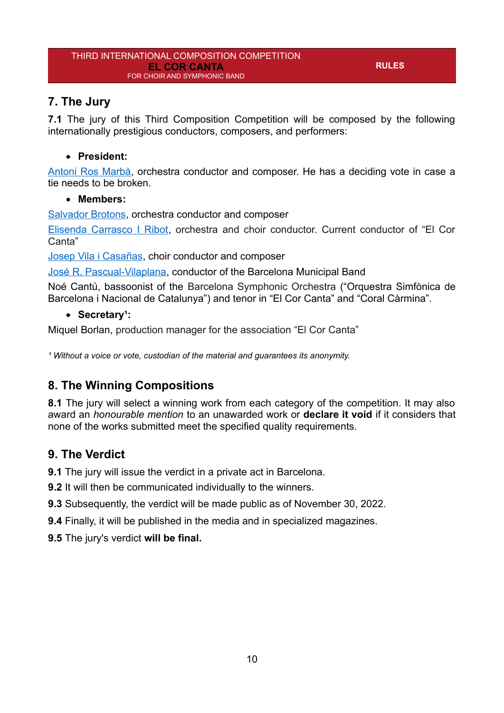## <span id="page-9-2"></span>**7. The Jury**

**7.1** The jury of this Third Composition Competition will be composed by the following internationally prestigious conductors, composers, and performers:

#### **President:**

[Antoni Ros Marbà,](https://ca.wikipedia.org/wiki/Antoni_Ros-Marb%C3%A0) orchestra conductor and composer. He has a deciding vote in case a tie needs to be broken.

#### **Members:**

[Salvador Brotons,](http://www.salvadorbrotons.org/) orchestra conductor and composer

[Elisenda Carrasco I Ribot](http://voxalba.cat/es/nuestra-directora/), orchestra and choir conductor. Current conductor of "El Cor Canta"

[Josep Vila i Casañas,](http://josepvila.net/) choir conductor and composer

[José R. Pascual-Vilaplana,](https://pascualvilaplana.com/biografia/) conductor of the Barcelona Municipal Band

Noé Cantú, bassoonist of the Barcelona Symphonic Orchestra ("Orquestra Simfònica de Barcelona i Nacional de Catalunya") and tenor in "El Cor Canta" and "Coral Càrmina".

#### • Secretary<sup>1</sup>:

Miquel Borlan, production manager for the association "El Cor Canta"

<sup>1</sup> Without a voice or vote, custodian of the material and guarantees its anonymity.

## <span id="page-9-1"></span>**8. The Winning Compositions**

**8.1** The jury will select a winning work from each category of the competition. It may also award an *honourable mention* to an unawarded work or **declare it void** if it considers that none of the works submitted meet the specified quality requirements.

## <span id="page-9-0"></span>**9. The Verdict**

**9.1** The jury will issue the verdict in a private act in Barcelona.

**9.2** It will then be communicated individually to the winners.

**9.3** Subsequently, the verdict will be made public as of November 30, 2022.

**9.4** Finally, it will be published in the media and in specialized magazines.

**9.5** The jury's verdict **will be final.**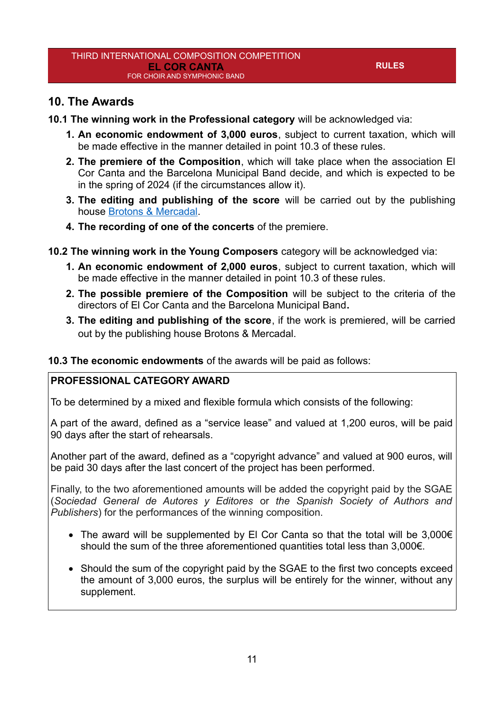### <span id="page-10-0"></span>**10. The Awards**

- **10.1 The winning work in the Professional category** will be acknowledged via:
	- **1. An economic endowment of 3,000 euros**, subject to current taxation, which will be made effective in the manner detailed in point 10.3 of these rules.
	- **2. The premiere of the Composition**, which will take place when the association El Cor Canta and the Barcelona Municipal Band decide, and which is expected to be in the spring of 2024 (if the circumstances allow it).
	- **3. The editing and publishing of the score** will be carried out by the publishing house [Brotons & Mercadal.](https://www.brotonsmercadal.com/)
	- **4. The recording of one of the concerts** of the premiere.
- **10.2 The winning work in the Young Composers** category will be acknowledged via:
	- **1. An economic endowment of 2,000 euros**, subject to current taxation, which will be made effective in the manner detailed in point 10.3 of these rules.
	- **2. The possible premiere of the Composition** will be subject to the criteria of the directors of El Cor Canta and the Barcelona Municipal Band**.**
	- **3. The editing and publishing of the score**, if the work is premiered, will be carried out by the publishing house Brotons & Mercadal.

**10.3 The economic endowments** of the awards will be paid as follows:

#### **PROFESSIONAL CATEGORY AWARD**

To be determined by a mixed and flexible formula which consists of the following:

A part of the award, defined as a "service lease" and valued at 1,200 euros, will be paid 90 days after the start of rehearsals.

Another part of the award, defined as a "copyright advance" and valued at 900 euros, will be paid 30 days after the last concert of the project has been performed.

Finally, to the two aforementioned amounts will be added the copyright paid by the SGAE (*Sociedad General de Autores y Editores* or *the Spanish Society of Authors and Publishers*) for the performances of the winning composition.

- The award will be supplemented by El Cor Canta so that the total will be 3,000€ should the sum of the three aforementioned quantities total less than 3,000€.
- Should the sum of the copyright paid by the SGAE to the first two concepts exceed the amount of 3,000 euros, the surplus will be entirely for the winner, without any supplement.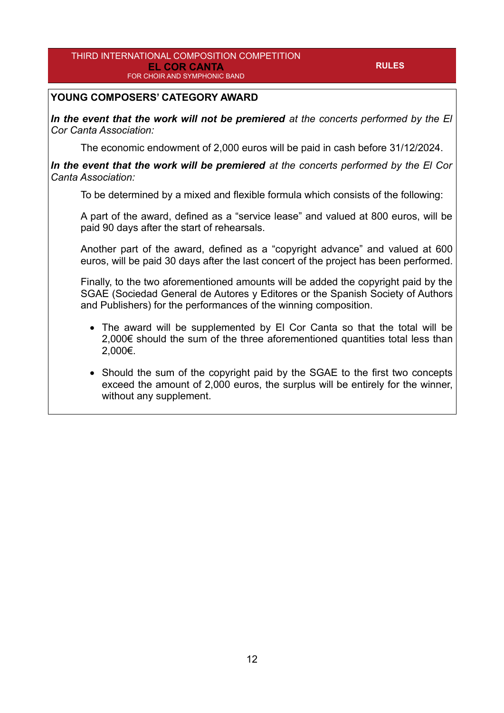#### **YOUNG COMPOSERS' CATEGORY AWARD**

*In the event that the work will not be premiered at the concerts performed by the El Cor Canta Association:*

The economic endowment of 2,000 euros will be paid in cash before 31/12/2024.

*In the event that the work will be premiered at the concerts performed by the El Cor Canta Association:*

To be determined by a mixed and flexible formula which consists of the following:

A part of the award, defined as a "service lease" and valued at 800 euros, will be paid 90 days after the start of rehearsals.

Another part of the award, defined as a "copyright advance" and valued at 600 euros, will be paid 30 days after the last concert of the project has been performed.

Finally, to the two aforementioned amounts will be added the copyright paid by the SGAE (Sociedad General de Autores y Editores or the Spanish Society of Authors and Publishers) for the performances of the winning composition.

- The award will be supplemented by El Cor Canta so that the total will be 2,000€ should the sum of the three aforementioned quantities total less than 2,000€.
- Should the sum of the copyright paid by the SGAE to the first two concepts exceed the amount of 2,000 euros, the surplus will be entirely for the winner, without any supplement.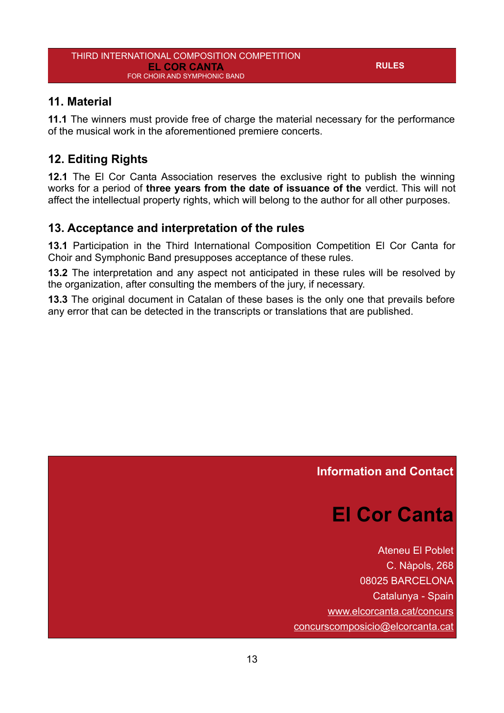#### <span id="page-12-3"></span>**11. Material**

**11.1** The winners must provide free of charge the material necessary for the performance of the musical work in the aforementioned premiere concerts.

## <span id="page-12-2"></span>**12. Editing Rights**

**12.1** The El Cor Canta Association reserves the exclusive right to publish the winning works for a period of **three years from the date of issuance of the** verdict. This will not affect the intellectual property rights, which will belong to the author for all other purposes.

#### <span id="page-12-1"></span>**13. Acceptance and interpretation of the rules**

**13.1** Participation in the Third International Composition Competition El Cor Canta for Choir and Symphonic Band presupposes acceptance of these rules.

**13.2** The interpretation and any aspect not anticipated in these rules will be resolved by the organization, after consulting the members of the jury, if necessary.

**13.3** The original document in Catalan of these bases is the only one that prevails before any error that can be detected in the transcripts or translations that are published.

#### <span id="page-12-0"></span>**Information and Contact**

# **El Cor Canta**

Ateneu El Poblet C. Nàpols, 268 08025 BARCELONA Catalunya - Spain [www.elcorcanta.cat/concurs](https://www.elcorcanta.cat/concurs) [concurscomposicio@elcorcanta.cat](mailto:concurscomposicio@elcorcanta.cat)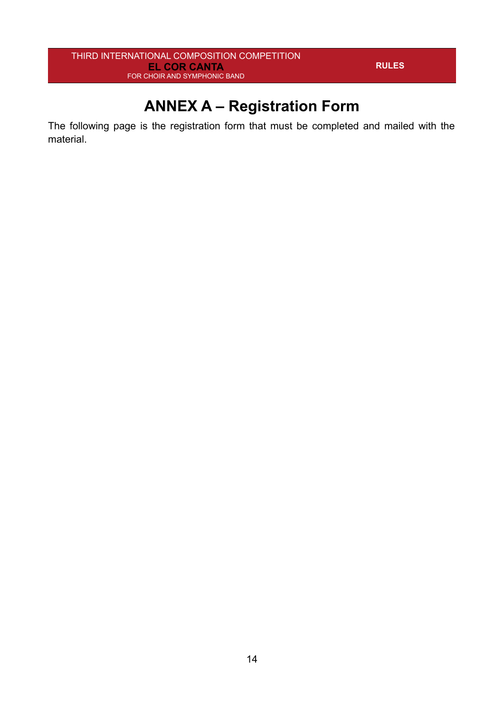# <span id="page-13-0"></span>**ANNEX A – Registration Form**

The following page is the registration form that must be completed and mailed with the material.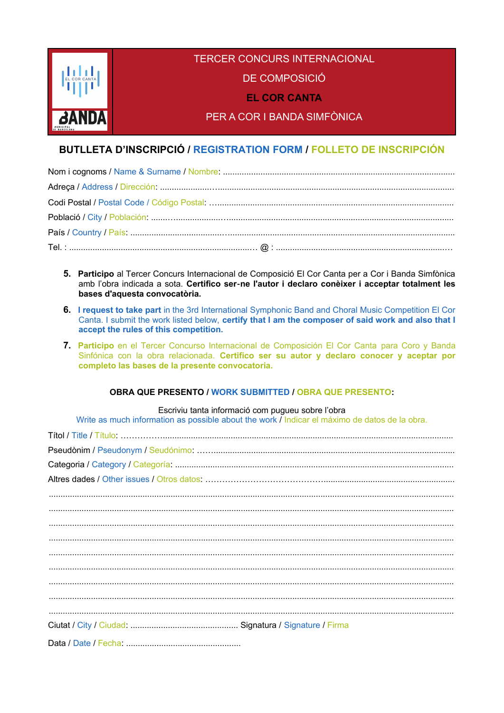

#### **BUTLLETA D'INSCRIPCIÓ / REGISTRATION FORM / FOLLETO DE INSCRIPCIÓN**

- 5. Participo al Tercer Concurs Internacional de Composició El Cor Canta per a Cor i Banda Simfònica amb l'obra indicada a sota. Certifico ser-ne l'autor i declaro conèixer i acceptar totalment les bases d'aquesta convocatòria.
- 6. I request to take part in the 3rd International Symphonic Band and Choral Music Competition El Cor Canta. I submit the work listed below, certify that I am the composer of said work and also that I accept the rules of this competition.
- 7. Participo en el Tercer Concurso Internacional de Composición El Cor Canta para Coro y Banda Sinfónica con la obra relacionada. Certifico ser su autor y declaro conocer y aceptar por completo las bases de la presente convocatoria.

#### **OBRA QUE PRESENTO / WORK SUBMITTED / OBRA QUE PRESENTO:**

Escriviu tanta informació com pugueu sobre l'obra

Write as much information as possible about the work / Indicar el máximo de datos de la obra.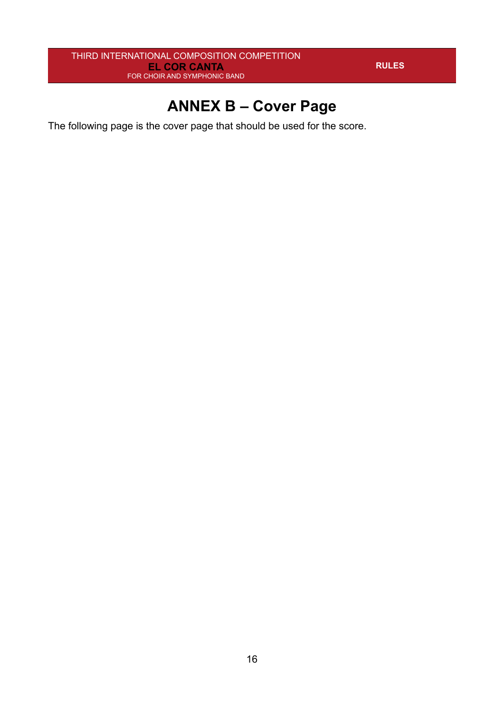# <span id="page-15-0"></span>**ANNEX B – Cover Page**

The following page is the cover page that should be used for the score.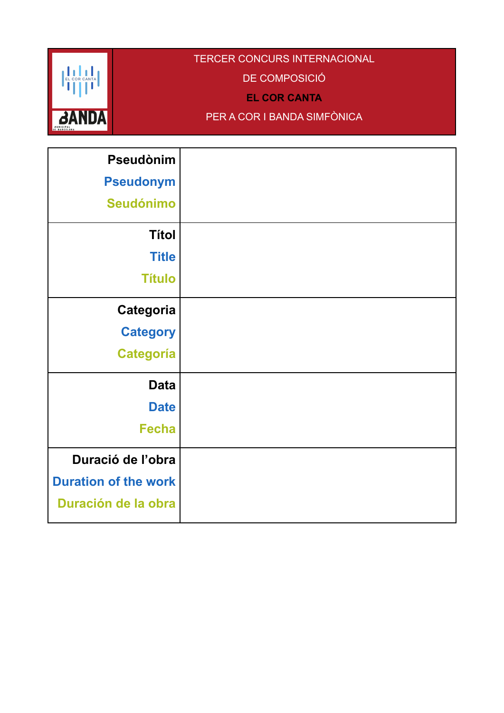

## TERCER CONCURS INTERNACIONAL

DE COMPOSICIÓ

**EL COR CANTA**

PER A COR I BANDA SIMFÒNICA

| <b>Pseudònim</b>            |  |
|-----------------------------|--|
|                             |  |
| <b>Pseudonym</b>            |  |
| <b>Seudónimo</b>            |  |
| <b>Títol</b>                |  |
|                             |  |
| <b>Title</b>                |  |
| <b>Título</b>               |  |
|                             |  |
| Categoria                   |  |
| <b>Category</b>             |  |
| <b>Categoría</b>            |  |
|                             |  |
| <b>Data</b>                 |  |
| <b>Date</b>                 |  |
| <b>Fecha</b>                |  |
|                             |  |
| Duració de l'obra           |  |
| <b>Duration of the work</b> |  |
| Duración de la obra         |  |
|                             |  |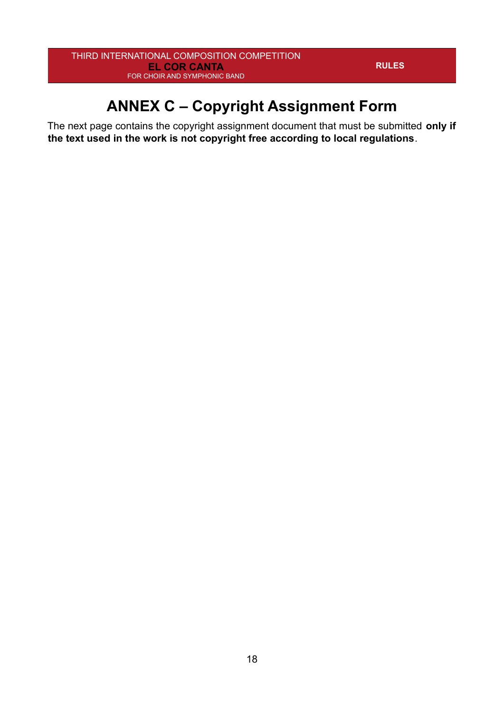# <span id="page-17-0"></span>**ANNEX C – Copyright Assignment Form**

The next page contains the copyright assignment document that must be submitted **only if the text used in the work is not copyright free according to local regulations**.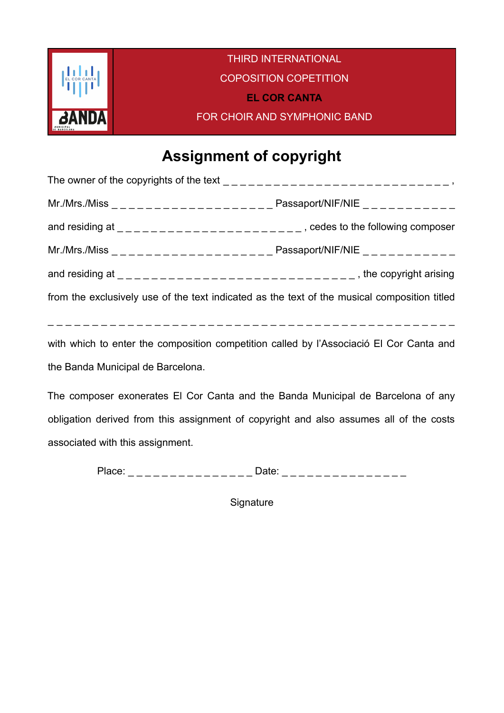

# **Assignment of copyright**

|                                                                                              | and residing at $\lfloor$ $\rfloor$ $\lfloor$ $\rfloor$ $\lfloor$ $\rfloor$ $\lfloor$ $\rfloor$ $\lfloor$ $\rfloor$ $\lfloor$ $\rfloor$ $\lfloor$ $\rfloor$ $\lfloor$ $\rfloor$ $\lfloor$ $\rfloor$ $\lfloor$ $\rfloor$ $\lfloor$ $\rfloor$ $\lfloor$ $\rfloor$ $\lfloor$ $\lfloor$ $\rfloor$ $\lfloor$ $\lfloor$ $\rfloor$ $\lfloor$ $\lfloor$ $\rfloor$ $\lfloor$ |
|----------------------------------------------------------------------------------------------|---------------------------------------------------------------------------------------------------------------------------------------------------------------------------------------------------------------------------------------------------------------------------------------------------------------------------------------------------------------------|
|                                                                                              |                                                                                                                                                                                                                                                                                                                                                                     |
|                                                                                              | and residing at $\frac{1}{2}$ = $\frac{1}{2}$ = $\frac{1}{2}$ = $\frac{1}{2}$ = $\frac{1}{2}$ = $\frac{1}{2}$ = $\frac{1}{2}$ = $\frac{1}{2}$ = $\frac{1}{2}$ = $\frac{1}{2}$ = $\frac{1}{2}$ = $\frac{1}{2}$ = $\frac{1}{2}$ = $\frac{1}{2}$ = $\frac{1}{2}$ = $\frac{1}{2}$ = $\frac{1}{2}$ =                                                                     |
| from the exclusively use of the text indicated as the text of the musical composition titled |                                                                                                                                                                                                                                                                                                                                                                     |
|                                                                                              |                                                                                                                                                                                                                                                                                                                                                                     |
|                                                                                              |                                                                                                                                                                                                                                                                                                                                                                     |

with which to enter the composition competition called by l'Associació El Cor Canta and the Banda Municipal de Barcelona.

The composer exonerates El Cor Canta and the Banda Municipal de Barcelona of any obligation derived from this assignment of copyright and also assumes all of the costs associated with this assignment.

Place: \_ \_ \_ \_ \_ \_ \_ \_ \_ \_ \_ \_ \_ \_ \_ Date: \_ \_ \_ \_ \_ \_ \_ \_ \_ \_ \_ \_ \_ \_ \_

**Signature**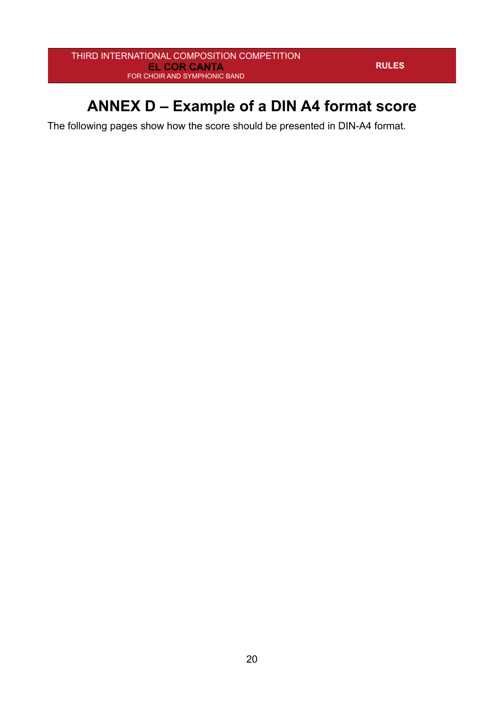# <span id="page-19-0"></span>**ANNEX D – Example of a DIN A4 format score**

The following pages show how the score should be presented in DIN-A4 format.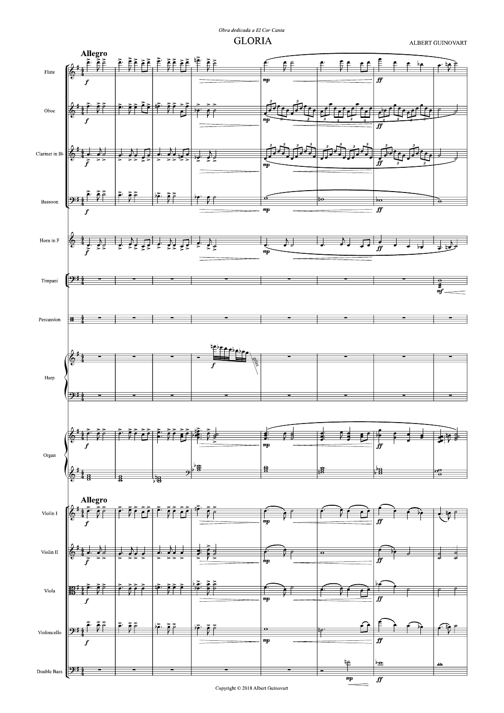Obra dedicada a El Cor Canta **GLORIA** 

ALBERT GUINOVART



Copyright  $\odot$  2018 Albert Guinovart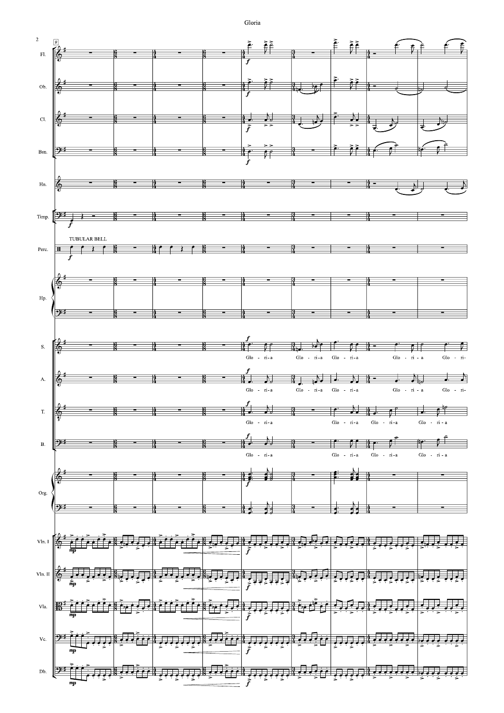Gloria